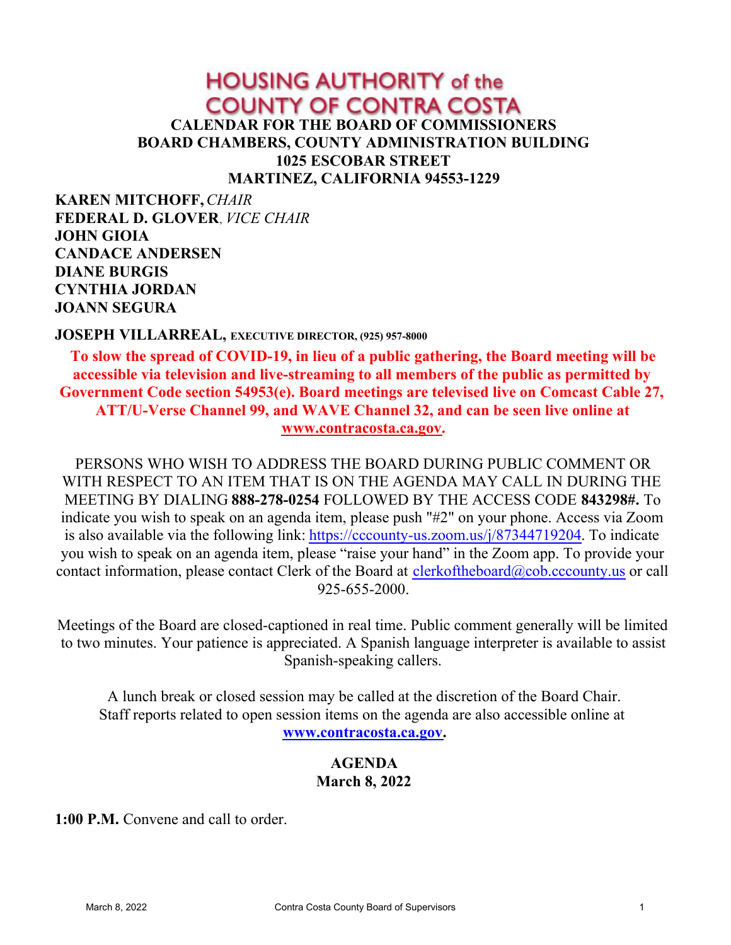# **HOUSING AUTHORITY of the COUNTY OF CONTRA COSTA CALENDAR FOR THE BOARD OF COMMISSIONERS BOARD CHAMBERS, COUNTY ADMINISTRATION BUILDING 1025 ESCOBAR STREET MARTINEZ, CALIFORNIA 94553-1229**

**KAREN MITCHOFF,***CHAIR* **FEDERAL D. GLOVER**, *VICE CHAIR* **JOHN GIOIA CANDACE ANDERSEN DIANE BURGIS CYNTHIA JORDAN JOANN SEGURA**

#### **JOSEPH VILLARREAL, EXECUTIVE DIRECTOR, (925) 957-8000**

**To slow the spread of COVID-19, in lieu of a public gathering, the Board meeting will be accessible via television and live-streaming to all members of the public as permitted by Government Code section 54953(e). Board meetings are televised live on Comcast Cable 27, ATT/U-Verse Channel 99, and WAVE Channel 32, and can be seen live online at [www.contracosta.ca.gov](http://www.contracosta.ca.gov).**

PERSONS WHO WISH TO ADDRESS THE BOARD DURING PUBLIC COMMENT OR WITH RESPECT TO AN ITEM THAT IS ON THE AGENDA MAY CALL IN DURING THE MEETING BY DIALING **888-278-0254** FOLLOWED BY THE ACCESS CODE **843298#.** To indicate you wish to speak on an agenda item, please push "#2" on your phone. Access via Zoom is also available via the following link: [https://cccounty-us.zoom.us/j/87344719204](https://gcc02.safelinks.protection.outlook.com/?url=https%3A%2F%2Fcccounty-us.zoom.us%2Fj%2F87344719204&data=04%7C01%7CJoellen.Bergamini%40cao.cccounty.us%7C4d9b6227de954fe4fdb808d9b8d16d66%7C76c13a07612f4e06a2f4783d69dc4cdb%7C0%7C0%7C637744031886981006%7CUnknown%7CTWFpbGZsb3d8eyJWIjoiMC4wLjAwMDAiLCJQIjoiV2luMzIiLCJBTiI6Ik1haWwiLCJXVCI6Mn0%3D%7C3000&sdata=PKdsuFsellHoX%2FaeSL%2FlrRto8FhurbtdJAV74tAjvI8%3D&reserved=0). To indicate you wish to speak on an agenda item, please "raise your hand" in the Zoom app. To provide your contact information, please contact Clerk of the Board at [clerkoftheboard@cob.cccounty.us](mailto:clerkoftheboard@cob.cccounty.us) or call 925-655-2000.

Meetings of the Board are closed-captioned in real time. Public comment generally will be limited to two minutes. Your patience is appreciated. A Spanish language interpreter is available to assist Spanish-speaking callers.

A lunch break or closed session may be called at the discretion of the Board Chair. Staff reports related to open session items on the agenda are also accessible online at **[www.contracosta.ca.gov](http://www.contracosta.ca.gov).**

#### **AGENDA March 8, 2022**

**1:00 P.M.** Convene and call to order.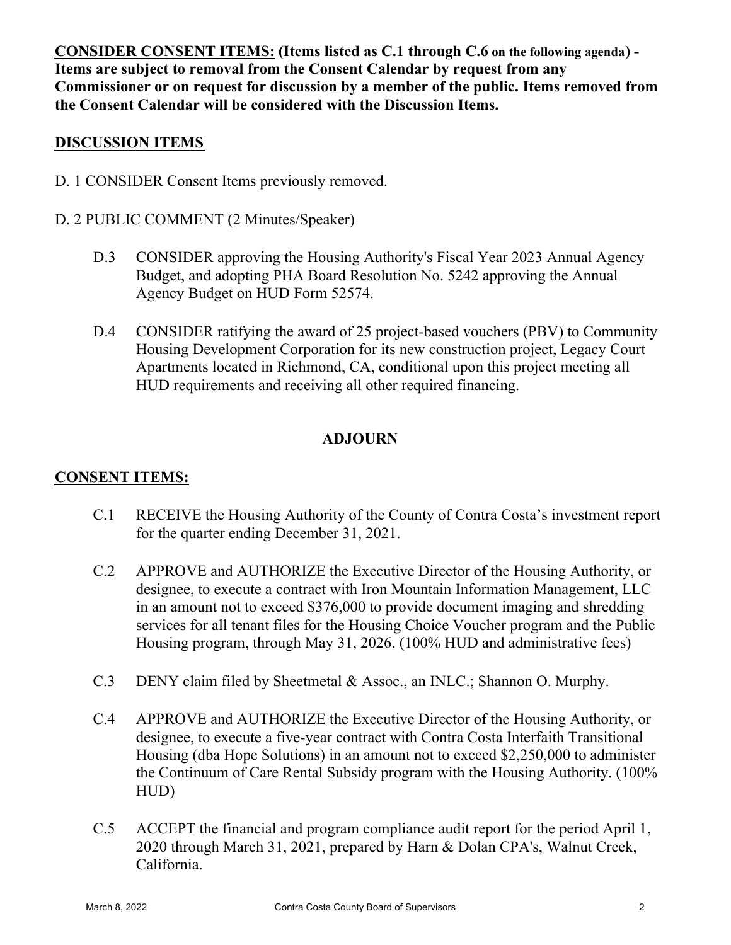**CONSIDER CONSENT ITEMS: (Items listed as C.1 through C.6 on the following agenda) - Items are subject to removal from the Consent Calendar by request from any Commissioner or on request for discussion by a member of the public. Items removed from the Consent Calendar will be considered with the Discussion Items.**

### **DISCUSSION ITEMS**

- D. 1 CONSIDER Consent Items previously removed.
- D. 2 PUBLIC COMMENT (2 Minutes/Speaker)
	- D.3 CONSIDER approving the Housing Authority's Fiscal Year 2023 Annual Agency Budget, and adopting PHA Board Resolution No. 5242 approving the Annual Agency Budget on HUD Form 52574.
	- D.4 CONSIDER ratifying the award of 25 project-based vouchers (PBV) to Community Housing Development Corporation for its new construction project, Legacy Court Apartments located in Richmond, CA, conditional upon this project meeting all HUD requirements and receiving all other required financing.

# **ADJOURN**

# **CONSENT ITEMS:**

- C.1 RECEIVE the Housing Authority of the County of Contra Costa's investment report for the quarter ending December 31, 2021.
- C.2 APPROVE and AUTHORIZE the Executive Director of the Housing Authority, or designee, to execute a contract with Iron Mountain Information Management, LLC in an amount not to exceed \$376,000 to provide document imaging and shredding services for all tenant files for the Housing Choice Voucher program and the Public Housing program, through May 31, 2026. (100% HUD and administrative fees)
- C.3 DENY claim filed by Sheetmetal & Assoc., an INLC.; Shannon O. Murphy.
- C.4 APPROVE and AUTHORIZE the Executive Director of the Housing Authority, or designee, to execute a five-year contract with Contra Costa Interfaith Transitional Housing (dba Hope Solutions) in an amount not to exceed \$2,250,000 to administer the Continuum of Care Rental Subsidy program with the Housing Authority. (100% HUD)
- C.5 ACCEPT the financial and program compliance audit report for the period April 1, 2020 through March 31, 2021, prepared by Harn & Dolan CPA's, Walnut Creek, California.